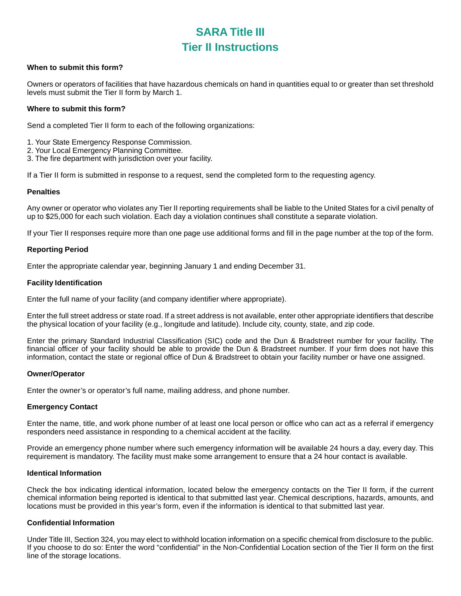# **SARA Title III Tier II Instructions**

#### **When to submit this form?**

Owners or operators of facilities that have hazardous chemicals on hand in quantities equal to or greater than set threshold levels must submit the Tier II form by March 1.

#### **Where to submit this form?**

Send a completed Tier II form to each of the following organizations:

- 1. Your State Emergency Response Commission.
- 2. Your Local Emergency Planning Committee.
- 3. The fire department with jurisdiction over your facility.

If a Tier II form is submitted in response to a request, send the completed form to the requesting agency.

#### **Penalties**

Any owner or operator who violates any Tier II reporting requirements shall be liable to the United States for a civil penalty of up to \$25,000 for each such violation. Each day a violation continues shall constitute a separate violation.

If your Tier II responses require more than one page use additional forms and fill in the page number at the top of the form.

#### **Reporting Period**

Enter the appropriate calendar year, beginning January 1 and ending December 31.

#### **Facility Identification**

Enter the full name of your facility (and company identifier where appropriate).

Enter the full street address or state road. If a street address is not available, enter other appropriate identifiers that describe the physical location of your facility (e.g., longitude and latitude). Include city, county, state, and zip code.

Enter the primary Standard Industrial Classification (SIC) code and the Dun & Bradstreet number for your facility. The financial officer of your facility should be able to provide the Dun & Bradstreet number. If your firm does not have this information, contact the state or regional office of Dun & Bradstreet to obtain your facility number or have one assigned.

#### **Owner/Operator**

Enter the owner's or operator's full name, mailing address, and phone number.

#### **Emergency Contact**

Enter the name, title, and work phone number of at least one local person or office who can act as a referral if emergency responders need assistance in responding to a chemical accident at the facility.

Provide an emergency phone number where such emergency information will be available 24 hours a day, every day. This requirement is mandatory. The facility must make some arrangement to ensure that a 24 hour contact is available.

#### **Identical Information**

Check the box indicating identical information, located below the emergency contacts on the Tier II form, if the current chemical information being reported is identical to that submitted last year. Chemical descriptions, hazards, amounts, and locations must be provided in this year's form, even if the information is identical to that submitted last year.

#### **Confidential Information**

Under Title III, Section 324, you may elect to withhold location information on a specific chemical from disclosure to the public. If you choose to do so: Enter the word "confidential" in the Non-Confidential Location section of the Tier II form on the first line of the storage locations.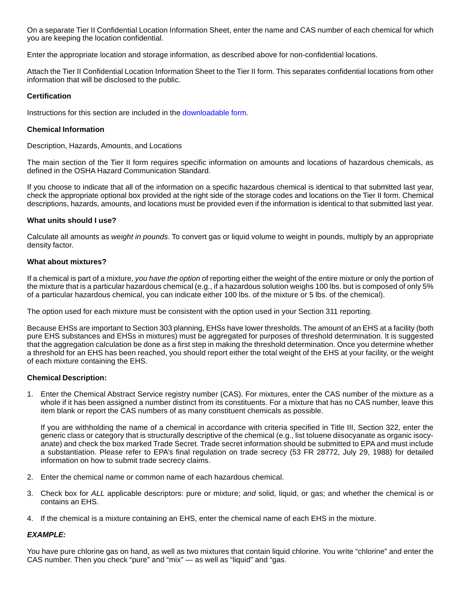On a separate Tier II Confidential Location Information Sheet, enter the name and CAS number of each chemical for which you are keeping the location confidential.

Enter the appropriate location and storage information, as described above for non-confidential locations.

Attach the Tier II Confidential Location Information Sheet to the Tier II form. This separates confidential locations from other information that will be disclosed to the public.

#### **Certification**

Instructions for this section are included in the [downloadable form.](http://www.dli.state.pa.us/landi/lib/landi/pdf/pennsafe/sara/tier2form.pdf)

#### **Chemical Information**

Description, Hazards, Amounts, and Locations

The main section of the Tier II form requires specific information on amounts and locations of hazardous chemicals, as defined in the OSHA Hazard Communication Standard.

If you choose to indicate that all of the information on a specific hazardous chemical is identical to that submitted last year, check the appropriate optional box provided at the right side of the storage codes and locations on the Tier II form. Chemical descriptions, hazards, amounts, and locations must be provided even if the information is identical to that submitted last year.

#### **What units should I use?**

Calculate all amounts as *weight in pounds*. To convert gas or liquid volume to weight in pounds, multiply by an appropriate density factor.

#### **What about mixtures?**

If a chemical is part of a mixture, *you have the option* of reporting either the weight of the entire mixture or only the portion of the mixture that is a particular hazardous chemical (e.g., if a hazardous solution weighs 100 lbs. but is composed of only 5% of a particular hazardous chemical, you can indicate either 100 lbs. of the mixture or 5 lbs. of the chemical).

The option used for each mixture must be consistent with the option used in your Section 311 reporting.

Because EHSs are important to Section 303 planning, EHSs have lower thresholds. The amount of an EHS at a facility (both pure EHS substances and EHSs in mixtures) must be aggregated for purposes of threshold determination. It is suggested that the aggregation calculation be done as a first step in making the threshold determination. Once you determine whether a threshold for an EHS has been reached, you should report either the total weight of the EHS at your facility, or the weight of each mixture containing the EHS.

#### **Chemical Description:**

1. Enter the Chemical Abstract Service registry number (CAS). For mixtures, enter the CAS number of the mixture as a whole if it has been assigned a number distinct from its constituents. For a mixture that has no CAS number, leave this item blank or report the CAS numbers of as many constituent chemicals as possible.

If you are withholding the name of a chemical in accordance with criteria specified in Title III, Section 322, enter the generic class or category that is structurally descriptive of the chemical (e.g., list toluene diisocyanate as organic isocyanate) and check the box marked Trade Secret. Trade secret information should be submitted to EPA and must include a substantiation. Please refer to EPA's final regulation on trade secrecy (53 FR 28772, July 29, 1988) for detailed information on how to submit trade secrecy claims.

- 2. Enter the chemical name or common name of each hazardous chemical.
- 3. Check box for ALL applicable descriptors: pure or mixture; and solid, liquid, or gas; and whether the chemical is or contains an EHS.
- 4. If the chemical is a mixture containing an EHS, enter the chemical name of each EHS in the mixture.

#### **EXAMPLE:**

You have pure chlorine gas on hand, as well as two mixtures that contain liquid chlorine. You write "chlorine" and enter the CAS number. Then you check "pure" and "mix" — as well as "liquid" and "gas.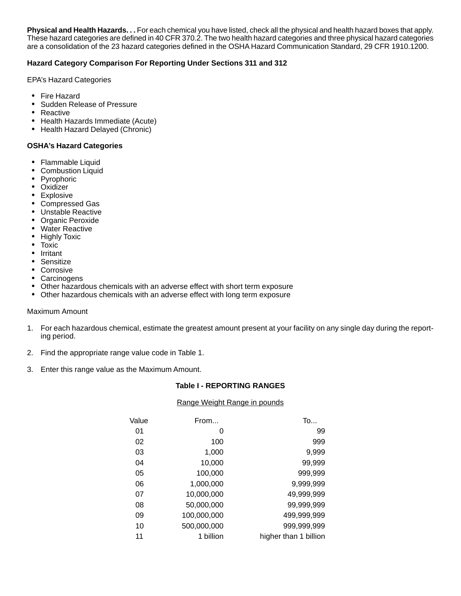**Physical and Health Hazards. . .** For each chemical you have listed, check all the physical and health hazard boxes that apply. These hazard categories are defined in 40 CFR 370.2. The two health hazard categories and three physical hazard categories are a consolidation of the 23 hazard categories defined in the OSHA Hazard Communication Standard, 29 CFR 1910.1200.

## **Hazard Category Comparison For Reporting Under Sections 311 and 312**

EPA's Hazard Categories

- Fire Hazard
- Sudden Release of Pressure
- Reactive
- Health Hazards Immediate (Acute)
- Health Hazard Delayed (Chronic)

#### **OSHA's Hazard Categories**

- Flammable Liquid
- **Combustion Liquid**
- Pyrophoric
- Oxidizer
- Explosive
- Compressed Gas
- Unstable Reactive
- Organic Peroxide
- Water Reactive
- Highly Toxic
- Toxic
- Irritant
- Sensitize
- Corrosive
- Carcinogens
- Other hazardous chemicals with an adverse effect with short term exposure
- Other hazardous chemicals with an adverse effect with long term exposure

#### Maximum Amount

- 1. For each hazardous chemical, estimate the greatest amount present at your facility on any single day during the reporting period.
- 2. Find the appropriate range value code in Table 1.
- 3. Enter this range value as the Maximum Amount.

#### **Table I - REPORTING RANGES**

#### Range Weight Range in pounds

| Value | From        | To                    |
|-------|-------------|-----------------------|
| 01    | 0           | 99                    |
| 02    | 100         | 999                   |
| 03    | 1,000       | 9,999                 |
| 04    | 10,000      | 99,999                |
| 05    | 100,000     | 999,999               |
| 06    | 1,000,000   | 9,999,999             |
| 07    | 10,000,000  | 49,999,999            |
| 08    | 50,000,000  | 99,999,999            |
| 09    | 100,000,000 | 499,999,999           |
| 10    | 500,000,000 | 999,999,999           |
| 11    | 1 billion   | higher than 1 billion |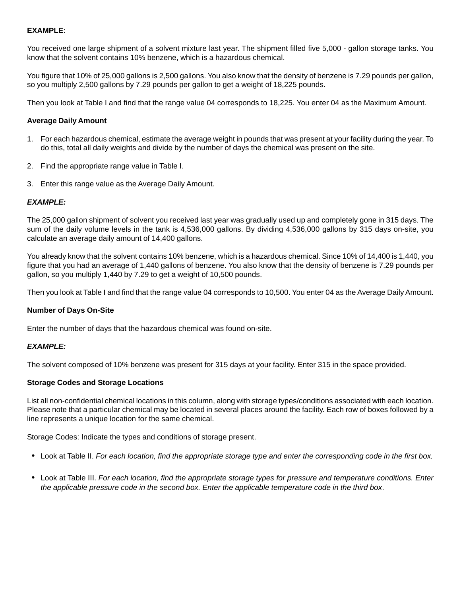# **EXAMPLE:**

You received one large shipment of a solvent mixture last year. The shipment filled five 5,000 - gallon storage tanks. You know that the solvent contains 10% benzene, which is a hazardous chemical.

You figure that 10% of 25,000 gallons is 2,500 gallons. You also know that the density of benzene is 7.29 pounds per gallon, so you multiply 2,500 gallons by 7.29 pounds per gallon to get a weight of 18,225 pounds.

Then you look at Table I and find that the range value 04 corresponds to 18,225. You enter 04 as the Maximum Amount.

## **Average Daily Amount**

- 1. For each hazardous chemical, estimate the average weight in pounds that was present at your facility during the year. To do this, total all daily weights and divide by the number of days the chemical was present on the site.
- 2. Find the appropriate range value in Table I.
- 3. Enter this range value as the Average Daily Amount.

#### **EXAMPLE:**

The 25,000 gallon shipment of solvent you received last year was gradually used up and completely gone in 315 days. The sum of the daily volume levels in the tank is 4,536,000 gallons. By dividing 4,536,000 gallons by 315 days on-site, you calculate an average daily amount of 14,400 gallons.

You already know that the solvent contains 10% benzene, which is a hazardous chemical. Since 10% of 14,400 is 1,440, you figure that you had an average of 1,440 gallons of benzene. You also know that the density of benzene is 7.29 pounds per gallon, so you multiply 1,440 by 7.29 to get a weight of 10,500 pounds.

Then you look at Table I and find that the range value 04 corresponds to 10,500. You enter 04 as the Average Daily Amount.

#### **Number of Days On-Site**

Enter the number of days that the hazardous chemical was found on-site.

#### **EXAMPLE:**

The solvent composed of 10% benzene was present for 315 days at your facility. Enter 315 in the space provided.

#### **Storage Codes and Storage Locations**

List all non-confidential chemical locations in this column, along with storage types/conditions associated with each location. Please note that a particular chemical may be located in several places around the facility. Each row of boxes followed by a line represents a unique location for the same chemical.

Storage Codes: Indicate the types and conditions of storage present.

- Look at Table II. For each location, find the appropriate storage type and enter the corresponding code in the first box.
- Look at Table III. For each location, find the appropriate storage types for pressure and temperature conditions. Enter the applicable pressure code in the second box. Enter the applicable temperature code in the third box.